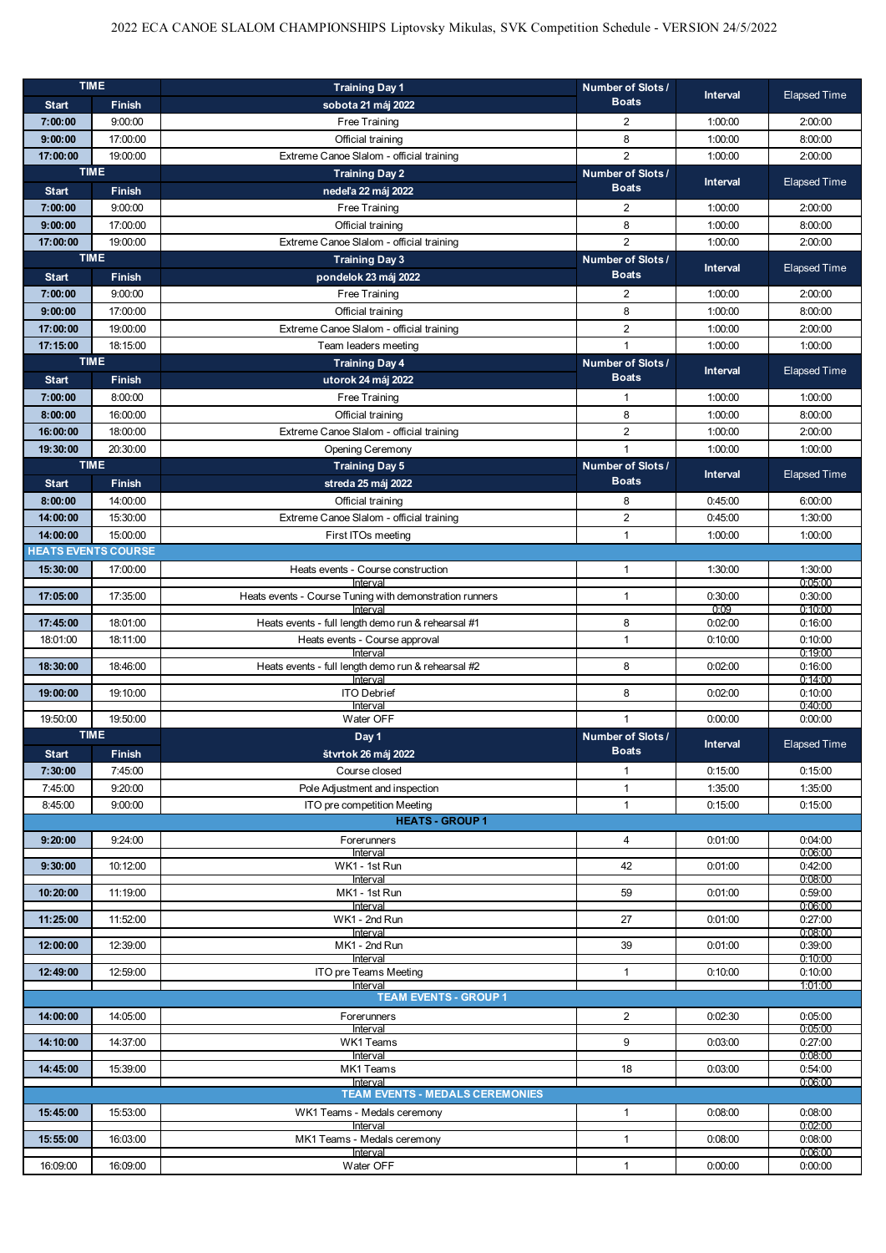| <b>TIME</b>                |               | <b>Training Day 1</b>                                               | Number of Slots / | <b>Interval</b> | <b>Elapsed Time</b> |
|----------------------------|---------------|---------------------------------------------------------------------|-------------------|-----------------|---------------------|
| <b>Start</b>               | Finish        | sobota 21 máj 2022                                                  | <b>Boats</b>      |                 |                     |
| 7:00:00                    | 9:00:00       | Free Training                                                       | 2                 | 1:00:00         | 2:00:00             |
| 9:00:00                    | 17:00:00      | Official training                                                   | 8                 | 1:00:00         | 8:00:00             |
| 17:00:00                   | 19:00:00      | Extreme Canoe Slalom - official training                            | $\overline{2}$    | 1:00:00         | 2:00:00             |
| <b>TIME</b>                |               | <b>Training Day 2</b>                                               | Number of Slots / | Interval        | <b>Elapsed Time</b> |
| <b>Start</b>               | <b>Finish</b> | nedeľa 22 máj 2022                                                  | <b>Boats</b>      |                 |                     |
| 7:00:00                    | 9:00:00       | Free Training                                                       | 2                 | 1:00:00         | 2:00:00             |
| 9:00:00                    | 17:00:00      | Official training                                                   | 8                 | 1:00:00         | 8:00:00             |
| 17:00:00                   | 19:00:00      | Extreme Canoe Slalom - official training                            | $\overline{2}$    | 1:00:00         | 2:00:00             |
| <b>TIME</b>                |               | <b>Training Day 3</b>                                               | Number of Slots / | Interval        | <b>Elapsed Time</b> |
| <b>Start</b>               | Finish        | pondelok 23 máj 2022                                                | <b>Boats</b>      |                 |                     |
| 7:00:00                    | 9:00:00       | Free Training                                                       | 2                 | 1:00:00         | 2:00:00             |
| 9:00:00                    | 17:00:00      | Official training                                                   | 8                 | 1:00:00         | 8:00:00             |
| 17:00:00                   | 19:00:00      | Extreme Canoe Slalom - official training                            | $\overline{2}$    | 1:00:00         | 2:00:00             |
| 17:15:00                   | 18:15:00      | Team leaders meeting                                                | $\mathbf{1}$      | 1:00:00         | 1:00:00             |
| <b>TIME</b>                |               | <b>Training Day 4</b>                                               | Number of Slots / | Interval        | <b>Elapsed Time</b> |
| <b>Start</b>               | <b>Finish</b> | utorok 24 máj 2022                                                  | <b>Boats</b>      |                 |                     |
| 7:00:00                    | 8:00:00       | Free Training                                                       | $\mathbf{1}$      | 1:00:00         | 1:00:00             |
| 8:00:00                    | 16:00:00      | Official training                                                   | 8                 | 1:00:00         | 8:00:00             |
| 16:00:00                   | 18:00:00      | Extreme Canoe Slalom - official training                            | $\overline{2}$    | 1:00:00         | 2:00:00             |
| 19:30:00                   | 20:30:00      | <b>Opening Ceremony</b>                                             | $\mathbf{1}$      | 1:00:00         | 1:00:00             |
| <b>TIME</b>                |               | <b>Training Day 5</b>                                               | Number of Slots / | <b>Interval</b> | <b>Elapsed Time</b> |
| <b>Start</b>               | Finish        | streda 25 máj 2022                                                  | <b>Boats</b>      |                 |                     |
| 8:00:00                    | 14:00:00      | Official training                                                   | 8                 | 0:45:00         | 6:00:00             |
| 14:00:00                   | 15:30:00      | Extreme Canoe Slalom - official training                            | 2                 | 0:45:00         | 1:30:00             |
| 14:00:00                   | 15:00:00      | First ITOs meeting                                                  | $\mathbf{1}$      | 1:00:00         | 1:00:00             |
| <b>HEATS EVENTS COURSE</b> |               |                                                                     |                   |                 |                     |
| 15:30:00                   | 17:00:00      | Heats events - Course construction                                  | $\mathbf{1}$      | 1:30:00         | 1:30:00             |
|                            |               | Interval                                                            |                   |                 | 0:05:00             |
| 17:05:00                   | 17:35:00      | Heats events - Course Tuning with demonstration runners<br>Interval | $\mathbf{1}$      | 0:30:00<br>0:09 | 0:30:00<br>0:10:00  |
| 17:45:00                   | 18:01:00      | Heats events - full length demo run & rehearsal #1                  | 8                 | 0:02:00         | 0:16:00             |
| 18:01:00                   | 18:11:00      | Heats events - Course approval                                      | $\mathbf{1}$      | 0:10:00         | 0:10:00             |
|                            |               | Interval                                                            |                   |                 | 0:19:00             |
|                            |               |                                                                     |                   |                 |                     |
| 18:30:00                   | 18:46:00      | Heats events - full length demo run & rehearsal #2                  | 8                 | 0:02:00         | 0:16:00             |
| 19:00:00                   | 19:10:00      | Interval<br><b>ITO Debrief</b>                                      | 8                 | 0:02:00         | 0.14.00<br>0:10:00  |
|                            |               | Interval                                                            |                   |                 | 0.40:00             |
| 19:50:00                   | 19:50:00      | Water OFF                                                           | $\overline{1}$    | 0:00:00         | 0:00:00             |
| <b>TIME</b>                |               | Day 1                                                               | Number of Slots / | <b>Interval</b> |                     |
| <b>Start</b>               | <b>Finish</b> | štvrtok 26 máj 2022                                                 | Boats             |                 | Elapsed Time        |
| 7:30:00                    | 7:45:00       | Course closed                                                       | -1                | 0:15:00         | 0:15:00             |
| 7:45:00                    | 9:20:00       | Pole Adiustment and inspection                                      | $\mathbf{1}$      | 1:35:00         | 1:35:00             |
| 8:45:00                    | 9:00:00       | ITO pre competition Meeting                                         | $\mathbf{1}$      | 0:15:00         | 0:15:00             |
|                            |               | <b>HEATS - GROUP 1</b>                                              |                   |                 |                     |
| 9:20:00                    | 9:24:00       | Forerunners                                                         | $\overline{4}$    | 0.01:00         | 0:04:00             |
| 9:30:00                    | 10:12:00      | Interval<br>WK1 - 1st Run                                           | 42                | 0.01:00         | 0:06:00<br>0:42:00  |
|                            |               | Interval                                                            |                   |                 | 0.08:00             |
| 10:20:00                   | 11:19:00      | MK1 - 1st Run                                                       | 59                | 0.01:00         | 0.59:00             |
| 11:25:00                   | 11:52:00      | Interval<br>WK1 - 2nd Run                                           | 27                |                 | 0.06:00<br>0.27:00  |
|                            |               | Interval                                                            |                   | 0:01:00         | 0.08:00             |
| 12:00:00                   | 12:39:00      | MK1 - 2nd Run                                                       | 39                | 0.01:00         | 0.39:00             |
|                            |               | Interval                                                            |                   |                 | 0:10:00             |
| 12:49:00                   | 12:59:00      | ITO pre Teams Meeting<br>Interval                                   | $\mathbf{1}$      | 0:10:00         | 0:10:00<br>1:01:00  |
|                            |               | <b>TEAM EVENTS - GROUP 1</b>                                        |                   |                 |                     |
| 14:00:00                   | 14:05:00      | Forerunners                                                         | 2                 | 0:02:30         | 0.05:00             |
|                            |               | Interval                                                            |                   |                 | 0.05:00             |
| 14:10:00                   | 14:37:00      | WK1 Teams<br>Interval                                               | 9                 | 0:03:00         | 0.27:00<br>0.08.00  |
| 14:45:00                   | 15:39:00      | MK1 Teams                                                           | 18                | 0.03:00         | 0.54:00             |
|                            |               | Interval                                                            |                   |                 | 0.06:00             |
|                            |               | <b>TEAM EVENTS - MEDALS CEREMONIES</b>                              |                   |                 |                     |
| 15:45:00                   | 15:53:00      | WK1 Teams - Medals ceremony<br>Interval                             | $\mathbf{1}$      | 0:08:00         | 0.08:00             |
| 15:55:00                   | 16:03:00      | MK1 Teams - Medals ceremony                                         | $\mathbf{1}$      | 0:08:00         | 0.02:00<br>0.08:00  |
| 16:09:00                   | 16:09:00      | Interval<br>Water OFF                                               | $\mathbf{1}$      | 0:00:00         | 0.06:00<br>0:00:00  |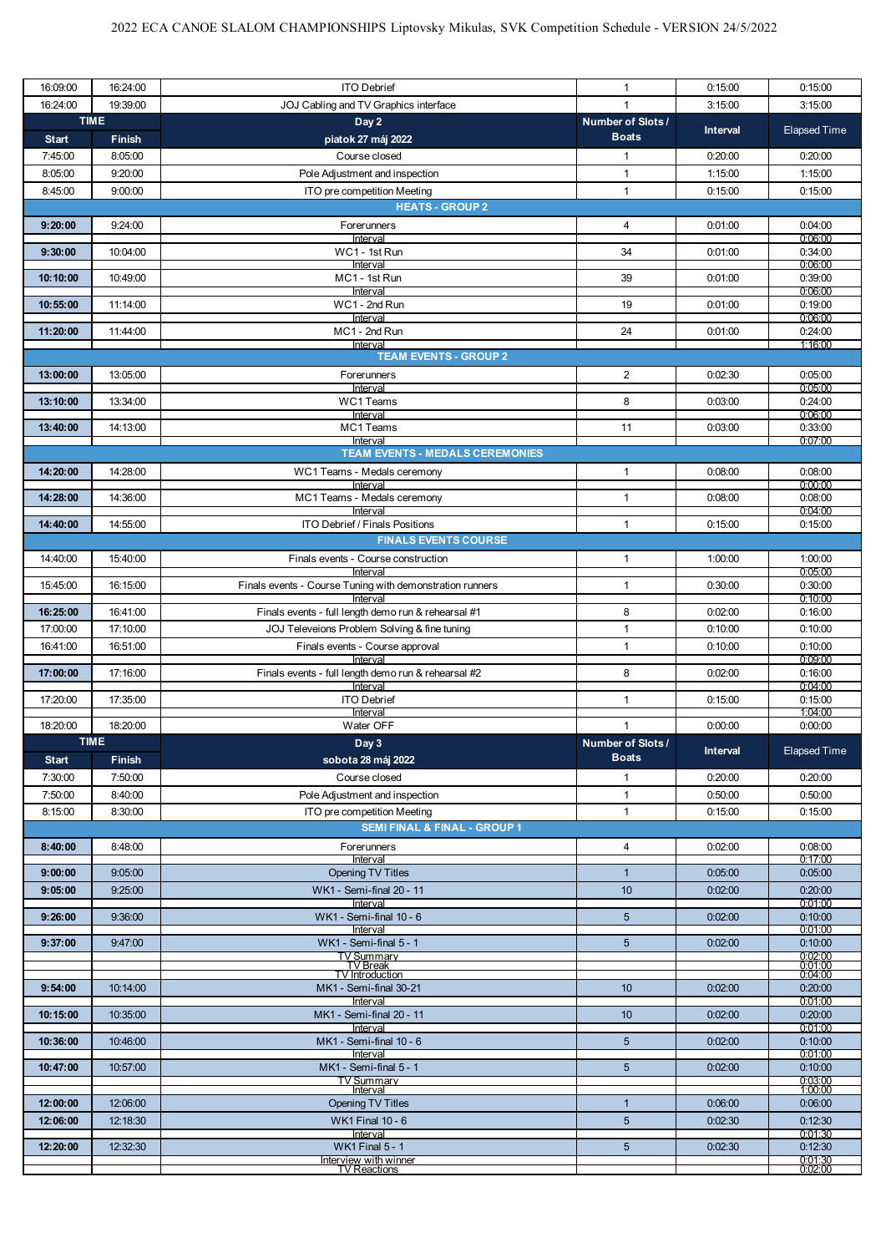| 16:09:00     | 16:24:00              | <b>ITO Debrief</b>                                                     | 1                                 | 0:15:00         | 0:15:00                   |
|--------------|-----------------------|------------------------------------------------------------------------|-----------------------------------|-----------------|---------------------------|
| 16:24:00     | 19:39:00              | JOJ Cabling and TV Graphics interface                                  |                                   | 3:15:00         | 3:15:00                   |
| <b>Start</b> | <b>TIME</b><br>Finish | Day 2<br>piatok 27 máj 2022                                            | Number of Slots /<br><b>Boats</b> | <b>Interval</b> | <b>Elapsed Time</b>       |
| 7:45:00      | 8:05:00               | Course closed                                                          | 1                                 | 0:20:00         | 0:20:00                   |
| 8:05:00      | 9:20:00               | Pole Adjustment and inspection                                         | $\mathbf{1}$                      | 1:15:00         | 1:15:00                   |
| 8:45:00      | 9:00:00               | ITO pre competition Meeting                                            | $\mathbf{1}$                      | 0:15:00         | 0:15:00                   |
|              |                       | <b>HEATS - GROUP 2</b>                                                 |                                   |                 |                           |
| 9:20:00      | 9:24:00               | Forerunners<br>Interval                                                | $\overline{4}$                    | 0:01:00         | 0.04:00<br>0.06:00        |
| 9:30:00      | 10:04:00              | WC1 - 1st Run<br>Interval                                              | 34                                | 0:01:00         | 0:34:00<br>0:06:00        |
| 10:10:00     | 10:49:00              | MC1 - 1st Run                                                          | 39                                | 0:01:00         | 0:39:00                   |
| 10:55:00     | 11:14:00              | Interval<br>WC1 - 2nd Run                                              | 19                                | 0.01:00         | 0:06:00<br>0:19:00        |
| 11:20:00     | 11:44:00              | Interval<br>MC1 - 2nd Run                                              | 24                                | 0:01:00         | 0:06:00<br>0:24:00        |
|              |                       | Interval<br><b>TEAM EVENTS - GROUP 2</b>                               |                                   |                 | 1:16:00                   |
| 13:00:00     | 13:05:00              | Forerunners                                                            | $\overline{2}$                    | 0:02:30         | 0.05:00                   |
| 13:10:00     | 13:34:00              | Interval<br>WC1 Teams                                                  | 8                                 | 0:03:00         | 0:05:00<br>0:24:00        |
| 13:40:00     | 14:13:00              | Interval<br>MC1 Teams                                                  | 11                                | 0:03:00         | 0:06:00<br>0:33:00        |
|              |                       | Interval                                                               |                                   |                 | 0:07:00                   |
|              |                       | <b>TEAM EVENTS - MEDALS CEREMONIES</b>                                 |                                   |                 |                           |
| 14:20:00     | 14:28:00              | WC1 Teams - Medals ceremony<br>Interval                                | 1                                 | 0.08:00         | 0.08:00<br>0:00:00        |
| 14:28:00     | 14:36:00              | MC1 Teams - Medals ceremony<br>Interval                                | 1                                 | 0:08:00         | 0.08:00<br>0.04:00        |
| 14:40:00     | 14:55:00              | ITO Debrief / Finals Positions                                         | 1                                 | 0:15:00         | 0:15:00                   |
|              |                       | <b>FINALS EVENTS COURSE</b>                                            |                                   |                 |                           |
| 14:40:00     | 15:40:00              | Finals events - Course construction                                    | $\mathbf{1}$                      | 1:00:00         | 1:00:00                   |
| 15:45:00     | 16:15:00              | Interval<br>Finals events - Course Tuning with demonstration runners   | $\mathbf{1}$                      | 0:30:00         | 0:05:00<br>0:30:00        |
| 16:25:00     | 16:41:00              | Interval<br>Finals events - full length demo run & rehearsal #1        | 8                                 | 0:02:00         | 0:10:00<br>0:16:00        |
| 17:00:00     | 17:10:00              | JOJ Televeions Problem Solving & fine tuning                           | $\mathbf{1}$                      | 0:10:00         | 0:10:00                   |
| 16:41:00     | 16:51:00              | Finals events - Course approval                                        | $\mathbf{1}$                      | 0:10:00         | 0:10:00                   |
|              |                       | Interval                                                               |                                   |                 | 0:09:00                   |
| 17:00:00     | 17:16:00              | Finals events - full length demo run & rehearsal #2<br>Interval        | 8                                 | 0:02:00         | 0:16:00<br>0:04:00        |
| 17:20:00     | 17:35:00              | <b>ITO Debrief</b><br>Interval                                         | $\mathbf{1}$                      | 0:15:00         | 0:15:00<br>1:04:00        |
| 18:20:00     | 18:20:00              | Water OFF                                                              | $\mathbf{1}$                      | 0:00:00         | 0:00:00                   |
|              | <b>TIME</b>           | Day 3                                                                  | Number of Slots /                 | <b>Interval</b> | Elapsed Time              |
| <b>Start</b> | <b>Finish</b>         | sobota 28 máj 2022                                                     | <b>Boats</b>                      |                 |                           |
| 7:30:00      | 7:50:00               | Course closed                                                          | 1                                 | 0:20:00         | 0.20:00                   |
| 7:50:00      | 8:40:00               | Pole Adjustment and inspection                                         | $\mathbf{1}$                      | 0:50:00         | 0.50:00                   |
| 8:15:00      | 8:30:00               | ITO pre competition Meeting<br><b>SEMI FINAL &amp; FINAL - GROUP 1</b> | $\mathbf{1}$                      | 0:15:00         | 0:15:00                   |
| 8:40:00      | 8:48:00               | Forerunners                                                            | $\overline{4}$                    | 0:02:00         | 0:08:00                   |
|              |                       | Interval                                                               |                                   |                 | 0:17:00                   |
| 9:00:00      | 9:05:00               | <b>Opening TV Titles</b>                                               | $\mathbf{1}$                      | 0.05:00         | 0.05:00                   |
| 9:05:00      | 9:25:00               | WK1 - Semi-final 20 - 11<br>Interval                                   | 10                                | 0.02:00         | 0:20:00<br>0.01:00        |
| 9:26:00      | 9:36:00               | WK1 - Semi-final 10 - 6                                                | 5 <sup>5</sup>                    | 0.02:00         | 0:10:00                   |
| 9:37:00      | 9:47:00               | Interval<br>WK1 - Semi-final 5 - 1                                     | 5 <sup>5</sup>                    | 0.02:00         | 0:01:00<br>0:10:00        |
|              |                       | TV Summary<br>TV Break<br>TV Introduction                              |                                   |                 | $\frac{0.02:00}{0.01:00}$ |
|              |                       |                                                                        |                                   |                 |                           |
| 9:54:00      | 10:14:00              | MK1 - Semi-final 30-21<br>Interval                                     | 10                                | 0:02:00         | 0:20:00<br>0:01:00        |
| 10:15:00     | 10:35:00              | MK1 - Semi-final 20 - 11<br>Interval                                   | 10 <sup>°</sup>                   | 0.02:00         | 0:20:00<br>0:01:00        |
| 10:36:00     | 10:46:00              | MK1 - Semi-final 10 - 6                                                | 5 <sup>5</sup>                    | 0:02:00         | 0:10:00                   |
| 10:47:00     | 10:57:00              | Interval<br>MK1 - Semi-final 5 - 1                                     | 5 <sup>5</sup>                    | 0:02:00         | 0:01:00<br>0:10:00        |
|              |                       | TV Summarv<br>Interval                                                 |                                   |                 | $\frac{0.03:00}{1.00:00}$ |
| 12:00:00     | 12:06:00              | <b>Opening TV Titles</b>                                               | $\mathbf{1}$                      | 0.06:00         | 0:06:00                   |
| 12:06:00     | 12:18:30              | <b>WK1 Final 10 - 6</b>                                                | 5 <sup>5</sup>                    | 0.02:30         | 0:12:30                   |
| 12:20:00     | 12:32:30              | Interval<br><b>WK1 Final 5 - 1</b>                                     | 5 <sup>5</sup>                    | 0.02:30         | 0:01:30<br>0:12:30        |
|              |                       |                                                                        |                                   |                 |                           |
|              |                       | Interview with winner<br>TV Reactions                                  |                                   |                 | $0.01:30$<br>$0.02:00$    |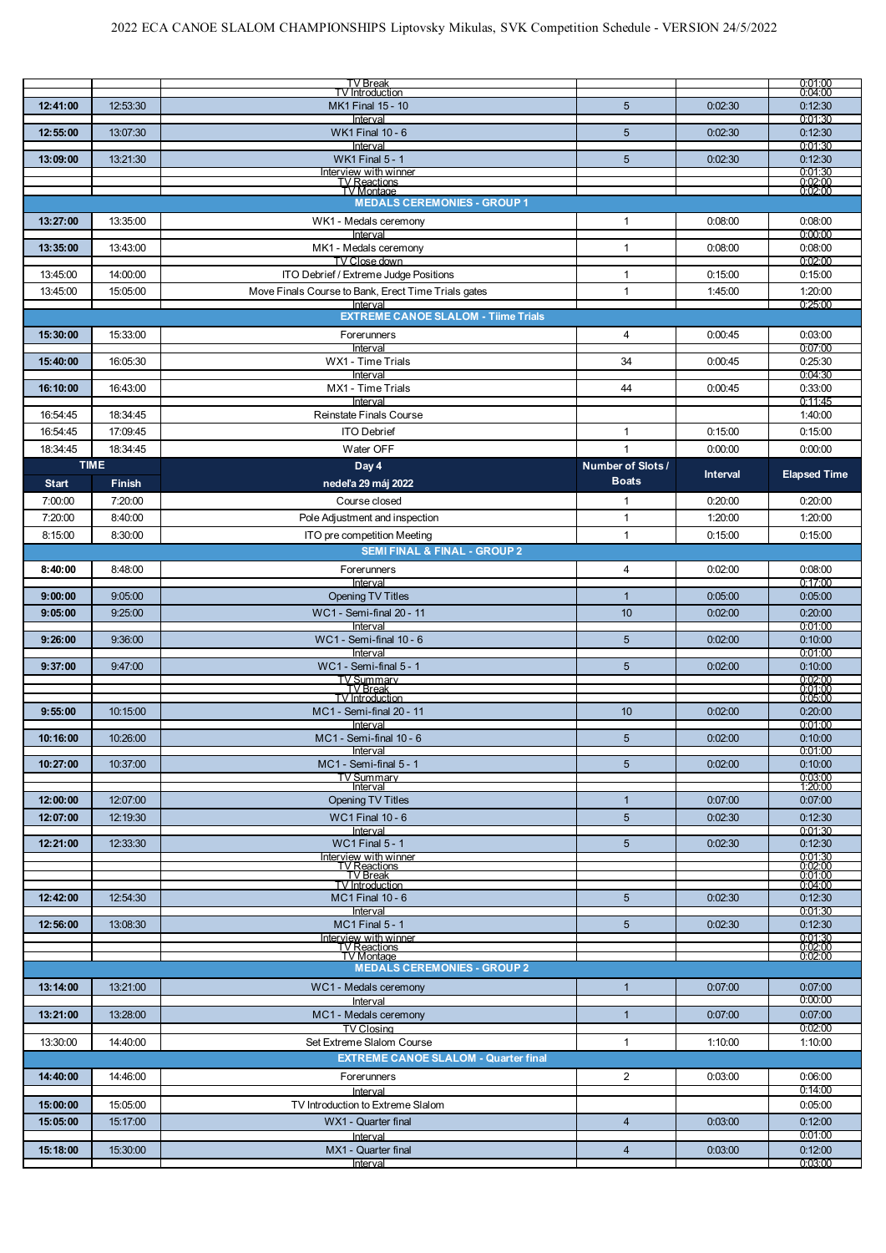|                      |                      | TV Break<br><b>TV</b> Introduction                              |                              |                 | $\begin{array}{c} 0.01.00 \ 0.04.00 \end{array}$ |
|----------------------|----------------------|-----------------------------------------------------------------|------------------------------|-----------------|--------------------------------------------------|
| 12:41:00             | 12:53:30             | <b>MK1 Final 15 - 10</b>                                        | $5\phantom{1}$               | 0:02:30         | 0:12:30                                          |
|                      |                      | Interval                                                        |                              |                 | 0.01:30                                          |
| 12:55:00             | 13:07:30             | <b>WK1 Final 10 - 6</b><br>Interval                             | $5\phantom{1}$               | 0:02:30         | 0:12:30<br>0:01:30                               |
| 13:09:00             | 13:21:30             | <b>WK1 Final 5 - 1</b>                                          | $5\phantom{1}$               | 0:02:30         | 0:12:30                                          |
|                      |                      | Interview with winner<br>IV Reactions<br>IV Montage             |                              |                 | $0.01:30$<br>$0.02:00$<br>$0.02:00$              |
|                      |                      |                                                                 |                              |                 |                                                  |
|                      |                      | <b>MEDALS CEREMONIES - GROUP 1</b>                              |                              |                 |                                                  |
| 13:27:00             | 13:35:00             | WK1 - Medals ceremony<br>Interval                               | 1                            | 0:08:00         | 0:08:00<br>0:00:00                               |
| 13:35:00             | 13:43:00             | MK1 - Medals ceremony                                           | $\mathbf{1}$                 | 0:08:00         | 0:08:00                                          |
|                      |                      | TV Close down                                                   |                              |                 | 0.02:00                                          |
| 13:45:00             | 14:00:00             | ITO Debrief / Extreme Judge Positions                           | $\mathbf{1}$                 | 0:15:00         | 0:15:00                                          |
| 13:45:00             | 15:05:00             | Move Finals Course to Bank, Erect Time Trials gates<br>Interval | 1                            | 1:45:00         | 1:20:00<br>0:25:00                               |
|                      |                      | <b>EXTREME CANOE SLALOM - Tiime Trials</b>                      |                              |                 |                                                  |
| 15:30:00             | 15:33:00             | Forerunners                                                     | $\overline{4}$               | 0:00:45         | 0:03:00                                          |
|                      |                      | Interval                                                        |                              |                 | 0:07:00                                          |
| 15:40:00             | 16:05:30             | WX1 - Time Trials<br>Interval                                   | 34                           | 0:00:45         | 0:25:30<br>0:04:30                               |
| 16:10:00             | 16:43:00             | MX1 - Time Trials                                               | 44                           | 0:00:45         | 0:33:00                                          |
|                      |                      | Interval                                                        |                              |                 | 0:11:45                                          |
| 16:54:45             | 18:34:45             | Reinstate Finals Course                                         |                              |                 | 1:40:00                                          |
| 16:54:45<br>18:34:45 | 17:09:45<br>18:34:45 | <b>ITO Debrief</b><br>Water OFF                                 | $\mathbf{1}$<br>$\mathbf{1}$ | 0:15:00         | 0:15:00<br>0:00:00                               |
|                      | <b>TIME</b>          | Day 4                                                           | Number of Slots /            | 0:00:00         |                                                  |
| <b>Start</b>         | <b>Finish</b>        | nedeľa 29 máj 2022                                              | <b>Boats</b>                 | <b>Interval</b> | <b>Elapsed Time</b>                              |
| 7:00:00              | 7:20:00              | Course closed                                                   | $\mathbf{1}$                 | 0:20:00         | 0:20:00                                          |
| 7:20:00              | 8:40:00              | Pole Adjustment and inspection                                  | $\mathbf{1}$                 | 1:20:00         | 1:20:00                                          |
| 8:15:00              | 8:30:00              | ITO pre competition Meeting                                     | $\mathbf{1}$                 | 0:15:00         | 0:15:00                                          |
|                      |                      | <b>SEMI FINAL &amp; FINAL - GROUP 2</b>                         |                              |                 |                                                  |
| 8:40:00              | 8:48:00              | Forerunners                                                     | $\overline{4}$               | 0:02:00         | 0:08:00                                          |
| 9:00:00              | 9:05:00              | Interval<br><b>Opening TV Titles</b>                            | $\mathbf{1}$                 | 0:05:00         | 0:17:00<br>0.05:00                               |
| 9:05:00              | 9:25:00              | WC1 - Semi-final 20 - 11                                        | 10                           | 0:02:00         | 0:20:00                                          |
|                      |                      | Interval                                                        |                              |                 | 0:01:00                                          |
| 9:26:00              | 9:36:00              | $WC1 - Semi-final 10 - 6$<br>Interval                           | 5                            | 0:02:00         | 0:10:00<br>0:01:00                               |
| 9:37:00              | 9:47:00              | WC1 - Semi-final 5 - 1                                          | 5                            | 0:02:00         | 0:10:00                                          |
|                      |                      | <b>TV Summary</b><br><b>TV</b> Break                            |                              |                 | 0:02:00<br>0:01:00                               |
|                      |                      | <b>TV</b> Introduction                                          |                              |                 | 0:05:00                                          |
| 9:55:00              | 10:15:00             | MC1 - Semi-final 20 - 11<br>Interval                            | 10                           | 0:02:00         | 0:20:00<br>0:01:00                               |
| 10:16:00             | 10:26:00             | $MC1 -$ Semi-final 10 - 6                                       | $5\phantom{.0}$              | 0:02:00         | 0:10:00                                          |
|                      |                      | Interval                                                        |                              |                 | 0.01:00                                          |
| 10:27:00             | 10:37:00             | MC1 - Semi-final 5 - 1<br>TV Summarv                            | 5                            | 0:02:00         | 0:10:00<br>0:03:00                               |
|                      |                      | Interval                                                        |                              |                 | 1:20:00                                          |
| 12:00:00             | 12:07:00             | <b>Opening TV Titles</b>                                        | $\mathbf{1}$                 | 0:07:00         | 0:07:00                                          |
| 12:07:00             | 12:19:30             | <b>WC1 Final 10 - 6</b><br>Interval                             | 5                            | 0:02:30         | 0:12:30<br>0:01:30                               |
| 12:21:00             | 12:33:30             | <b>WC1 Final 5 - 1</b>                                          | 5                            | 0:02:30         | 0:12:30                                          |
|                      |                      | Interview with winner<br>TV Reactions<br>TV Break               |                              |                 | 0:01:30                                          |
|                      |                      | TV Introduction                                                 |                              |                 | $0.02:00$<br>$0.01:00$<br>0.04.00                |
| 12:42:00             | 12:54:30             | <b>MC1 Final 10 - 6</b>                                         | 5                            | 0:02:30         | 0:12:30                                          |
|                      |                      | Interval                                                        |                              |                 | 0.01:30                                          |
| 12:56:00             | 13:08:30             | <b>MC1 Final 5 - 1</b><br>nterview with winner                  | 5                            | 0:02:30         | 0:12:30<br>0:01:30                               |
|                      |                      | TV Reactions<br>TV Montage                                      |                              |                 | 0:02:00<br>0:02:00                               |
|                      |                      | <b>MEDALS CEREMONIES - GROUP 2</b>                              |                              |                 |                                                  |
| 13:14:00             | 13:21:00             | WC1 - Medals ceremony                                           | $\mathbf{1}$                 | 0:07:00         | 0:07:00                                          |
|                      |                      | Interval                                                        |                              |                 | 0:00:00                                          |
| 13:21:00             | 13:28:00             | MC1 - Medals ceremony                                           | 1                            | 0.07:00         | 0.07:00<br>0:02:00                               |
| 13:30:00             | 14:40:00             | <b>TV Closing</b><br>Set Extreme Slalom Course                  | $\mathbf{1}$                 | 1:10:00         | 1:10:00                                          |
|                      |                      | <b>EXTREME CANOE SLALOM - Quarter final</b>                     |                              |                 |                                                  |
| 14:40:00             | 14:46:00             | Forerunners                                                     | $\overline{2}$               | 0:03:00         | 0.06:00                                          |
|                      |                      | Interval                                                        |                              |                 | 0:14:00                                          |
| 15:00:00             | 15:05:00             | TV Introduction to Extreme Slalom                               |                              |                 | 0.05:00                                          |
| 15:05:00             | 15:17:00             | WX1 - Quarter final                                             | $\overline{4}$               | 0:03:00         | 0:12:00<br>0:01:00                               |
| 15:18:00             | 15:30:00             | Interval<br>MX1 - Quarter final                                 | $\overline{4}$               | 0:03:00         | 0:12:00                                          |
|                      |                      | Interval                                                        |                              |                 | 0:03:00                                          |